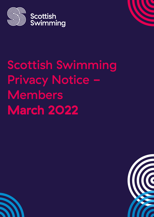

**Scottish** Swimming

# Scottish Swimming Privacy Notice -Members March 2022



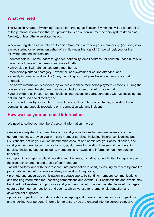#### **What we need**

The Scottish Amateur Swimming Association, trading as Scottish Swimming, will be a "controller" of the personal information that you provide to us on our online membership system (known as Azolve), unless otherwise stated below.

When you register as a member of Scottish Swimming or renew your membership (including if you are registering or renewing on behalf of a child under the age of 16), we will ask you for the following personal information:

• contact details – name, address, gender, nationality, email address (for children under 16 this is the email address of the parent), and date of birth;

- which club or Swim School you are a member of;
- membership criteria / category swimmer, non-swimmer or course attendee; and

• equality information – disability (if any), ethnic group, religious belief, gender and sexual orientation.

The above information is provided by you via our online membership system (Azolve). During the course of your membership, we may also collect any personal information that:

• you provide to us in your communications, interactions or correspondence with us, including but not limited to, via social media; and

• is provided to us by your club or Swim School, including but not limited to, in relation to our complaints and appeals procedure or in connection with any incident.

#### **How we use your personal information**

We need to collect our members' personal information in order to:

• maintain a register of our members and send you invitations to members events, such as general meetings, provide you with core member services, including, insurance, licensing and PVG checks, set up your online membership account and administer your account online, and send you membership communications by post or email in relation to essential membership services, including but not limited to, membership renewals and information on membership benefits;

• comply with our sportscotland reporting requirements, including but not limited to, reporting on the size, achievements and profile of our members;

• assist sportscotland with their research into participation in sport, by inviting members by email to participate in their ad hoc surveys always in relation to aquatics;

• promote and encourage participation in aquatic sports by sending members' communications and booking information for upcoming competitions and events. Our competitions and events may be filmed for live streaming purposes and your personal information may also be used in images captured from our competitions and events, which we use for promotional, education and development purposes;

• provide competition in aquatic sports by accepting and managing entries for our competitions and checking your personal information to ensure you are entered into the correct category;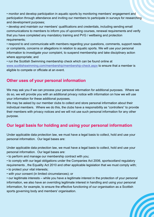• monitor and develop participation in aquatic sports by monitoring members' engagement and participation through attendance and inviting our members to participate in surveys for researching and development purposes;

• develop and maintain our members' qualifications and credentials, including sending email communications to members to inform you of upcoming courses, renewal requirements and verify that you have completed any mandatory training and PVG / wellbeing and protection requirements;

• respond to and communicate with members regarding your questions, comments, support needs or complaints, concerns or allegations in relation to aquatic sports. We will use your personal information to investigate your complaint, to suspend membership and take disciplinary action where appropriate; and

• run the Scottish Swimming membership check which can be found online at [www.scottishswimming.com/membership/membership-check.aspx to](https://www.scottishswimming.com/membership/membership-check.aspx) ensure that a member is eligible to compete or officiate at an event.

# **Other uses of your personal information**

We may ask you if we can process your personal information for additional purposes. Where we do so, we will provide you with an additional privacy notice with information on how we will use your information for these additional purposes.

We may be asked by our member clubs to collect and store personal information about their individual members. Where we do this, the clubs have a responsibility as "controllers" to provide their members with privacy notices and we will not use such personal information for any other purpose.

# **Our legal basis for holding and using your personal information**

Under applicable data protection law, we must have a legal basis to collect, hold and use your personal information. Our legal bases are:

Under applicable data protection law, we must have a legal basis to collect, hold and use your personal information. Our legal bases are:

• to perform and manage our membership contract with you;

• to comply with our legal obligations under the Companies Act 2006, sportscotland regulatory requirements , the Equality Act 2010 and other applicable legislation that we must comply with;

• to protect your vital interests;

• with your consent (in limited circumstances); or

• our legitimate interests – while you have a legitimate interest in the protection of your personal information, we also have an overriding legitimate interest in handling and using your personal information, for example, to ensure the effective functioning of our organisation as a Scottish sports governing body and members' organisation.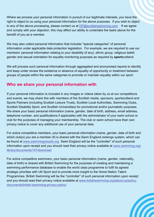Where we process your personal information in pursuit of our legitimate interests, you have the right to object to us using your personal information for the above purposes. If you wish to object to any of the above processing, please contact us at  $DP@$  scottishswimming com. If we agree and comply with your objection, this may affect our ability to undertake the tasks above for the benefit of you as a member.

We may also collect personal information that includes "special categories" of personal information under applicable data protection legislation. For example, we are required to use our members' personal information relating to your disability (if any), ethnic group, religious belief, gender and sexual orientation for equality monitoring purposes as required by **sport**scotland.

We will process such personal information through aggregated and anonymised reports to identify and keep under review the existence or absence of equality of opportunity or treatment between groups of people within the same categories to promote or maintain equality within our sport.

# **Who we share your personal information with**

If your personal information is included in any images or videos taken by us at our competitions and events, we may share this with members of the Scottish media, sponsors, sportscotland and Sports Partners (including Scottish Leisure Trusts, Scottish Local Authorities, Swimming Clubs, Scottish Disability Sport, and Scottish Universities) for promotional and/or journalistic purposes. We share your basic personal information (name, gender, date of birth, address, email address, telephone number, and qualifications if applicable) with the administrator of your swim school or club for the purposes of managing your membership. The club or swim school have their own privacy notice to cover any additional use of your personal data.

For active competitive members, your basic personal information (name, gender, date of birth and which club(s) you are a member of) is shared with the Swim England rankings system, which can be found at [www.swimmingresults.org Sw](https://www.swimmingresults.org)im England will be the "controller" of such personal [information upon receipt and you should read their privacy notice available at www.swimming.org/](https://www.swimming.org/library/documents/147/download) library/documents/147/download

For active competitive swimmers, your basic personal information (name, gender, nationality, date of birth) is shared with British Swimming for the purposes of creating and maintaining a swimming performance database to enable the world class programme to fulfil its agreed strategic priorities with UK Sport and to provide more insight to the Home Nation Talent Programmes. British Swimming will be the "controller" of such personal information upon receipt [and you should read their privacy notice available at www.britishswimming.org/about-us/policy](https://www.britishswimming.org/about-us/policy-documents/british-swimming-privacy-policy/)documents/british-swimming-privacy-policy/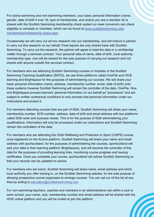For active swimming and non-swimming members, your basic personal information (name, gender, date of birth if over 16, type of membership, and club(s) you are a member of) is shared with the Scottish Swimming membership check system so meet convenors can check eligibility to compete or volunteer, which can be found at www.scottishswimming.com/ membership/membership-check.aspx

Occasionally we will carry out ad hoc research into our membership, and will instruct a partner to carry out this research on our behalf. Final reports are only shared back with Scottish Swimming. To carry out the research, the partner will agree to treat the data in a confidential matter through a services contract. Your personal data of name, date of birth, local authority, membership type, club will be shared for the sole purpose of carrying out research and not shared with anyone outwith the services contract.

For members who are attending Scottish Swimming courses or modules or the Scottish Swimming Teaching Qualification (SSTQ), we use three platforms called OneFile and HIVE learning and Brightspace for the purposes of administering our courses. We will share your basic personal information (name, address, membership number, email, date of birth) onto these systems however Scottish Swimming will remain the controller of the data. OneFile, Hive and Brightspace process learners' personal information on our behalf as "processors" and are subject to written contractual conditions to on[ly process that personal](https://www.swimming.org/) information under our instructions and protect it.

For members attending courses that are part of SQA, Scottish Swimming will share your name, membership number, SCN number, address, date o[f birth an](https://www.swimmingresults.org)d email address with two platforms called SQA solar and surprass viewer. This is for the purpose of SQA administering your qualifications. Information will only be processed under our instructions and Scottish Swimming remain the controllers of the data.

For members who are attending the Child Wellbeing and Protection in Sport (CWPS) course, once registered on the Azolve platform, Scottish Swimming will share your name and email ad[dress with sportscotland, for the purpose](mailto:education@scottishswimming.com)s [of admini](https://www.britishswimming.org/about-us/)stering the courses. sportscotland will add your data to their learning platf[orm \(Brightspace\), and will beco](https://www.britishswimming.org/about-us/)me the controller of this data for the purposes of providing learning links, monitoring course progress and issuing certificates. Once you complete your course, sportscotland will advise Scottish Swimming so that your records can be updated on azolve.

For members who are tutors, Scottish Swimming will share name, email address and which local authority you offer training in, on the Scottish Swimming website, for the sole purpose of allowing prospective course organisers to arrange courses. You can opt out of this list at any time by writing to education@scottishswimming.com

For non-swimming teachers, coaches and members in an administrative role within a club or swim school, your name, club, membership number and email address will be shared with the HIVE online platform and you will be invited to join the platform.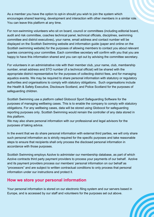As a member you have the option to opt-in should you wish to join the system which encourages shared learning, development and interaction with other members in a similar role. You can leave this platform at any time.

For non-swimming volunteers who sit on board, council or committees (including editorial board, audit and risk committee, coaches technical panel, technical officials, disciplines, swimming committee and district executives), your name, email address and contact number will be displayed on the Scottish Swimming website and information guide (paper and online on the Scottish swimming website) for the purposes of allowing members to contact you about relevant queries concerning your committee. Each committee secretary will confirm with you that you are happy to have this information shared and you can opt out by advising the committee secretary.

For volunteers in an administrative role with their member club, your name, club, membership number, email address and STO number (if a technical official) will be shared with the appropriate district representative for the purposes of collecting district fees, and for managing aquatics events. We may be required to share pers[onal informa](https://www.swimmingresults.org)tion with statutory or regulatory authorities and organisations to comply with statutory obligations. Such organisations include the Health & Safety Executive, Disclosure Scotland, and Police Scotland for the purposes of safeguarding children.

Scottish Swimming use a platform called Globocol Sport Safeguarding Software for the purposes of managing wellbeing cases. This is to enable the company to comply with statutory obligations. For any wellbeing cases, data will be stored using Globocol for safeguarding reporting purposes only. Scottish Swimming would remain the controller of any data stored in this platform.

We may also share personal information with our professional and legal advisors for the purposes of taking advice.

In the event that we do share personal information with external third parties, we will only share such personal information as is strictly required for the specific purposes and take reasonable steps to ensure that recipients shall only process the disclosed personal information in accordance with those purposes.

Scottish Swimming employs Azolv[e to administer our membership](https://www.britishswimming.org/about-us/) database, as part of which Azolve contracts third party payment provi[ders to process your payme](https://www.swimming.org/)nts of our behalf. Azolve and its payment providers process our members' personal information on our behalf as "processors" and are subject to written contractual conditions to only process that personal information under our instructions and protect it.

### **How we store your personal information**

Your personal information is stored on our electronic filing system and our servers based in Europe, and is accessed by o[ur staff and volunteers for the purposes set out above.](https://scottishswimming.azolve.com/Account.mvc/LogIn)

**A**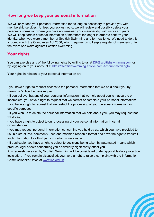## **How long we keep your personal information**

We will only keep your personal information for as long as necessary to provide you with membership services. Unless you ask us not to, we will review and possibly delete your personal information where you have not renewed your membership with us for six years. We will keep certain personal information of members for longer in order to confirm your identity, when you were a member of Scottish Swimming and for how long. We need to do this to comply with the Companies Act 2006, which requires us to keep a register of members or in the event of a claim against Scottish Swimming.

# **Your rights**

You can exercise any of the following rights by writing to us at DP@scottishswimming.com or by logging on to your account at https://scottishswimming.azolve.com/Account.mvc/LogIn

Your rights in relation to your personal information are:

• you have a right to request access to the personal information that we hold about you by making a "subject access request";

• if you believe that any of your personal information that we hold about you is inaccurate or incomplete, you have a right to request that we correct or complete your personal information;

• you have a right to request that we restrict the processing of your personal information for specific purposes;

• if you wish us to delete the personal information that we hold about you, you may request that we do so;

• you have a right to object to our processing of your personal information in certain circumstances;

• you may request perso[nal information conce](http://www.ico.org.uk)rning you held by us, which you have provided to us, in a structured, commonly used and m[achine-readable format and](https://www.swimming.org/) have the right to transmit such information to a third party in certain situations; and

• if applicable, you have a right to [object to decisions being taken by](https://www.britishswimming.org/about-us/) automated means which produce legal effects concerning you or similarly sig[nificantly](https://www.swimmingresults.org) affect you.

Any requests received by Scottish Swimmin[g will be](https://www.britishswimming.org/about-us/) considered under applicable data protection legislation. If you remain dissatisfied, you have a right to raise a complaint with the Information Commissioner's Office at www.ico.org.uk